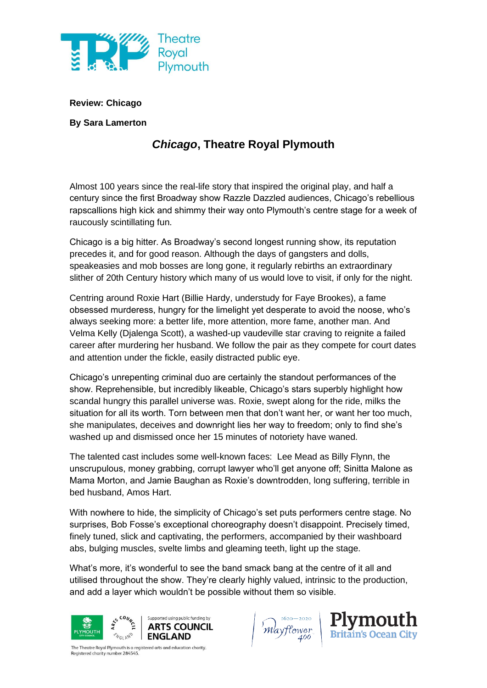

**Review: Chicago**

**By Sara Lamerton**

## *Chicago***, Theatre Royal Plymouth**

Almost 100 years since the real-life story that inspired the original play, and half a century since the first Broadway show Razzle Dazzled audiences, Chicago's rebellious rapscallions high kick and shimmy their way onto Plymouth's centre stage for a week of raucously scintillating fun.

Chicago is a big hitter. As Broadway's second longest running show, its reputation precedes it, and for good reason. Although the days of gangsters and dolls, speakeasies and mob bosses are long gone, it regularly rebirths an extraordinary slither of 20th Century history which many of us would love to visit, if only for the night.

Centring around Roxie Hart (Billie Hardy, understudy for Faye Brookes), a fame obsessed murderess, hungry for the limelight yet desperate to avoid the noose, who's always seeking more: a better life, more attention, more fame, another man. And Velma Kelly (Djalenga Scott), a washed-up vaudeville star craving to reignite a failed career after murdering her husband. We follow the pair as they compete for court dates and attention under the fickle, easily distracted public eye.

Chicago's unrepenting criminal duo are certainly the standout performances of the show. Reprehensible, but incredibly likeable, Chicago's stars superbly highlight how scandal hungry this parallel universe was. Roxie, swept along for the ride, milks the situation for all its worth. Torn between men that don't want her, or want her too much, she manipulates, deceives and downright lies her way to freedom; only to find she's washed up and dismissed once her 15 minutes of notoriety have waned.

The talented cast includes some well-known faces: Lee Mead as Billy Flynn, the unscrupulous, money grabbing, corrupt lawyer who'll get anyone off; Sinitta Malone as Mama Morton, and Jamie Baughan as Roxie's downtrodden, long suffering, terrible in bed husband, Amos Hart.

With nowhere to hide, the simplicity of Chicago's set puts performers centre stage. No surprises, Bob Fosse's exceptional choreography doesn't disappoint. Precisely timed, finely tuned, slick and captivating, the performers, accompanied by their washboard abs, bulging muscles, svelte limbs and gleaming teeth, light up the stage.

What's more, it's wonderful to see the band smack bang at the centre of it all and utilised throughout the show. They're clearly highly valued, intrinsic to the production, and add a layer which wouldn't be possible without them so visible.